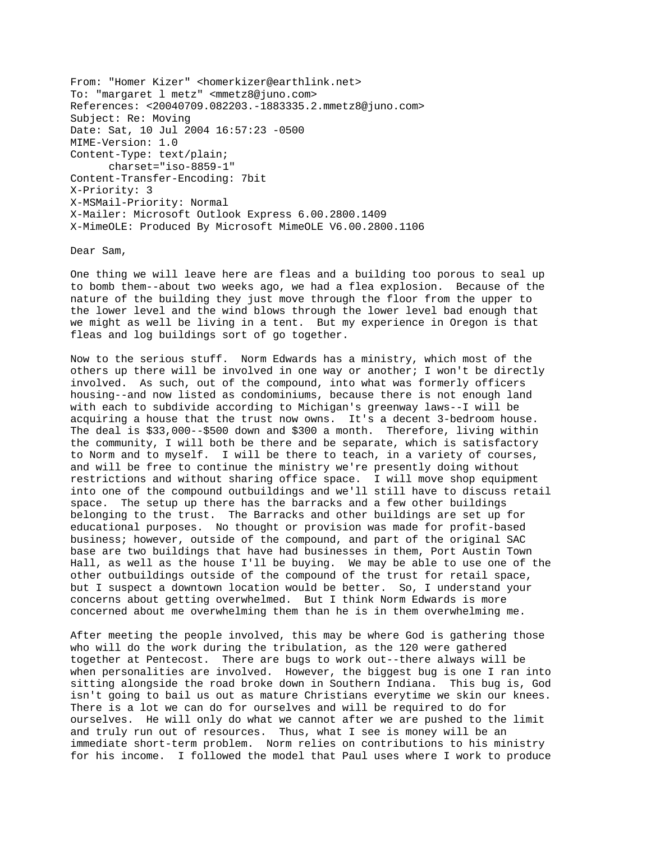From: "Homer Kizer" <homerkizer@earthlink.net> To: "margaret l metz" <mmetz8@juno.com> References: <20040709.082203.-1883335.2.mmetz8@juno.com> Subject: Re: Moving Date: Sat, 10 Jul 2004 16:57:23 -0500 MIME-Version: 1.0 Content-Type: text/plain; charset="iso-8859-1" Content-Transfer-Encoding: 7bit X-Priority: 3 X-MSMail-Priority: Normal X-Mailer: Microsoft Outlook Express 6.00.2800.1409 X-MimeOLE: Produced By Microsoft MimeOLE V6.00.2800.1106

Dear Sam,

One thing we will leave here are fleas and a building too porous to seal up to bomb them--about two weeks ago, we had a flea explosion. Because of the nature of the building they just move through the floor from the upper to the lower level and the wind blows through the lower level bad enough that we might as well be living in a tent. But my experience in Oregon is that fleas and log buildings sort of go together.

Now to the serious stuff. Norm Edwards has a ministry, which most of the others up there will be involved in one way or another; I won't be directly involved. As such, out of the compound, into what was formerly officers housing--and now listed as condominiums, because there is not enough land with each to subdivide according to Michigan's greenway laws--I will be acquiring a house that the trust now owns. It's a decent 3-bedroom house. The deal is \$33,000--\$500 down and \$300 a month. Therefore, living within the community, I will both be there and be separate, which is satisfactory to Norm and to myself. I will be there to teach, in a variety of courses, and will be free to continue the ministry we're presently doing without restrictions and without sharing office space. I will move shop equipment into one of the compound outbuildings and we'll still have to discuss retail space. The setup up there has the barracks and a few other buildings belonging to the trust. The Barracks and other buildings are set up for educational purposes. No thought or provision was made for profit-based business; however, outside of the compound, and part of the original SAC base are two buildings that have had businesses in them, Port Austin Town Hall, as well as the house I'll be buying. We may be able to use one of the other outbuildings outside of the compound of the trust for retail space, but I suspect a downtown location would be better. So, I understand your concerns about getting overwhelmed. But I think Norm Edwards is more concerned about me overwhelming them than he is in them overwhelming me.

After meeting the people involved, this may be where God is gathering those who will do the work during the tribulation, as the 120 were gathered together at Pentecost. There are bugs to work out--there always will be when personalities are involved. However, the biggest bug is one I ran into sitting alongside the road broke down in Southern Indiana. This bug is, God isn't going to bail us out as mature Christians everytime we skin our knees. There is a lot we can do for ourselves and will be required to do for ourselves. He will only do what we cannot after we are pushed to the limit and truly run out of resources. Thus, what I see is money will be an immediate short-term problem. Norm relies on contributions to his ministry for his income. I followed the model that Paul uses where I work to produce